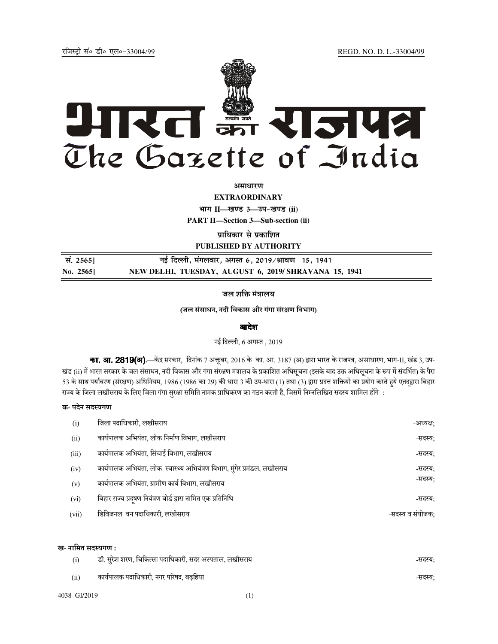jftLVªh laö Mhö ,yö&33004@99 REGD. NO. D. L.-33004/99



*<u>ature</u>lian* 

**EXTRAORDINARY**

**Hkkx II—[k.M 3—mi&[k.M (ii)**

**PART II—Section 3—Sub-section (ii)** 

**प्राधिकार से प्रकाशित PUBLISHED BY AUTHORITY**

 **la- 2565] ubZ fnYyh] eaxyokj] vxLr 6] 2019@Jko.k 15] 1941 No. 2565] NEW DELHI, TUESDAY, AUGUST 6, 2019/ SHRAVANA 15, 1941**

जल शक्ति मंत्रालय

## (जल संसाधन, नदी िवकास और गंगा संरण िवभाग)

#### आदेश

नई िदली, 6 अग
त , 2019

**का. आ. 2819(अ).**—केंद्र सरकार, दिनांक 7 अक्तूबर, 2016 के का. आ. 3187 (अ) द्वारा भारत के राजपत्र, असाधारण, भाग-II, खंड 3, उप-खंड (ii) में भारत सरकार के जल संसाधन, नदी विकास और गंगा संरक्षण मंत्रालय के प्रकाशित अधिसूचना (इसके बाद उक्त अधिसूचना के रूप में संदर्भित) के पैरा 53 के साथ पर्यावरण (संरक्षण) अधिनियम, 1986 (1986 का 29) की धारा 3 की उप-धारा (1) तथा (3) द्वारा प्रदत्त शक्तियों का प्रयोग करते हये एतदद्वारा बिहार राज्य के जिला लखीसराय के लिए जिला गंगा सुरक्षा समिति नामक प्राधिकरण का गठन करती है, जिसमें निम्नलिखित सदस्य शामिल होंगे :

## क- पदेन सदस्यगण

| (i)   | जिला पदाधिकारी, लखीसराय                                                    | -अध्यक्ष:        |
|-------|----------------------------------------------------------------------------|------------------|
| (ii)  | कार्यपालक अभियंता, लोक निर्माण विभाग, लखीसराय                              | -सदस्य:          |
| (iii) | कार्यपालक अभियंता, सिंचाई विभाग, लखीसराय                                   | -सदस्य;          |
| (iv)  | कार्यपालक अभियंता, लोक  स्वास्थ्य अभियंत्रण विभाग, मुंगेर प्रमंडल, लखीसराय | -सदस्य:          |
| (v)   | कार्यपालक अभियंता, ग्रामीण कार्य विभाग, लखीसराय                            | -सदस्य:          |
| (vi)  | बिहार राज्य प्रदूषण नियंत्रण बोर्ड द्वारा नामित एक प्रतिनिधि               | -सदस्य:          |
| (vii) | डिविज़नल वन पदाधिकारी, लखीसराय                                             | -सदस्य व संयोजक: |

#### ख- नामित सदस्यगण :

| (i)  | डॉ. सुरेश शरण, चिकित्सा पदाधिकारी, सदर अस्पताल, लखीसराय | -सदस्य: |
|------|---------------------------------------------------------|---------|
| (ii) | कार्यपालक पदाधिकारी, नगर परिषद, बढ़हिया                 | -सदस्य: |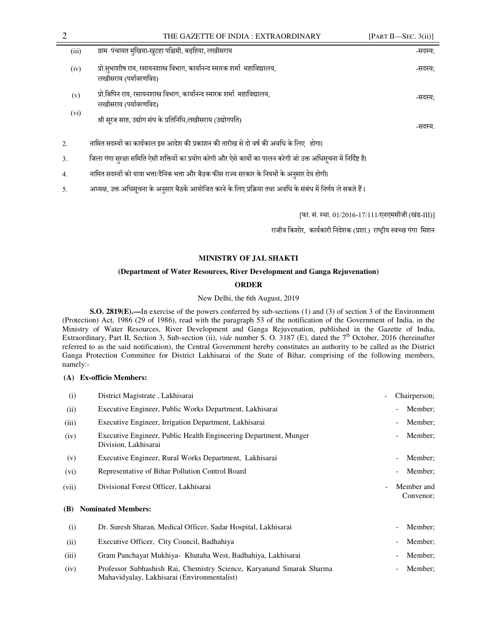| (iii) | ग्राम पंचायत मुखिया-खुटहा पश्चिमी, बढ़हिया, लखीसराय                                                  | -सदस्य: |
|-------|------------------------------------------------------------------------------------------------------|---------|
| (iv)  | प्रो.सुभाशीष राय, रसायनशास्त्र विभाग, कार्यानन्द स्मारक शर्मा  महाविद्यालय,<br>लखीसराय (पर्यावरणविद) | -सदस्य: |
| (v)   | प्रो.बिपिन राय, रसायनशास्त्र विभाग, कार्यानन्द स्मारक शर्मा  महाविद्यालय,<br>लखीसराय (पर्यावरणविद)   | -सदस्य: |
| (vi)  | श्री सूरज साह, उद्योग संघ के प्रतिनिधि,लखीसराय (उद्योगपति)                                           | -सदस्य  |
| 2.    | नामित सदस्यों का कार्यकाल इस आदेश की प्रकाशन की तारीख से दो वर्ष की अवधि के लिए होगा।                |         |

- 3. जिला गंगा सुरक्षा समिति ऐसी शक्तियों का प्रयोग करेगी और ऐसे कार्यो का पालन करेगी जो उक्त अधिसूचना में निर्दिष्ट है।
- 4. नामित सदस्यों को यात्रा भत्ता/दैनिक भत्ता और बैठक फीस राज्य सरकार के नियमों के अनुसार देय होगी।
- 5. अध्यक्ष, उक्त अधिसूचना के अनुसार बैठकें आयोजित करने के लिए प्रक्रिया तथा अवधि के संबंध में निर्णय ले सकते हैं।

[फा. सं. स्था. 01/2016-17/111/एनएमसीजी (खंड-III)]

राजीव किशोर, कार्यकारी निदेशक (प्रशा.) राष्ट्रीय स्वच्छ गंगा मिशन

## **MINISTRY OF JAL SHAKTI**

# **(Department of Water Resources, River Development and Ganga Rejuvenation)**

## **ORDER**

New Delhi, the 6th August, 2019

**S.O. 2819(E).—**In exercise of the powers conferred by sub-sections (1) and (3) of section 3 of the Environment (Protection) Act, 1986 (29 of 1986), read with the paragraph 53 of the notification of the Government of India, in the Ministry of Water Resources, River Development and Ganga Rejuvenation, published in the Gazette of India, Extraordinary, Part II, Section 3, Sub-section (ii), *vide* number S. O. 3187 (E), dated the 7th October, 2016 (hereinafter referred to as the said notification), the Central Government hereby constitutes an authority to be called as the District Ganga Protection Committee for District Lakhisarai of the State of Bihar, comprising of the following members, namely:-

## **(A) Ex-officio Members:**

| (i)   | District Magistrate, Lakhisarai                                                                                     | Chairperson;<br>$\overline{\phantom{a}}$            |
|-------|---------------------------------------------------------------------------------------------------------------------|-----------------------------------------------------|
| (ii)  | Executive Engineer, Public Works Department, Lakhisarai                                                             | Member;<br>$\overline{\phantom{a}}$                 |
| (iii) | Executive Engineer, Irrigation Department, Lakhisarai                                                               | Member:                                             |
| (iv)  | Executive Engineer, Public Health Engineering Department, Munger<br>Division, Lakhisarai                            | Member:                                             |
| (v)   | Executive Engineer, Rural Works Department, Lakhisarai                                                              | Member:                                             |
| (vi)  | Representative of Bihar Pollution Control Board                                                                     | Member;<br>$\overline{\phantom{a}}$                 |
| (vii) | Divisional Forest Officer, Lakhisarai                                                                               | Member and<br>$\overline{\phantom{a}}$<br>Convenor; |
| (B)   | <b>Nominated Members:</b>                                                                                           |                                                     |
| (i)   | Dr. Suresh Sharan, Medical Officer, Sadar Hospital, Lakhisarai                                                      | Member;                                             |
| (ii)  | Executive Officer, City Council, Badhahiya                                                                          | Member;                                             |
| (iii) | Gram Panchayat Mukhiya - Khutaha West, Badhahiya, Lakhisarai                                                        | Member:<br>$\overline{\phantom{a}}$                 |
| (iv)  | Professor Subhashish Rai, Chemistry Science, Karyanand Smarak Sharma<br>Mahavidyalay, Lakhisarai (Environmentalist) | Member;<br>$\overline{\phantom{a}}$                 |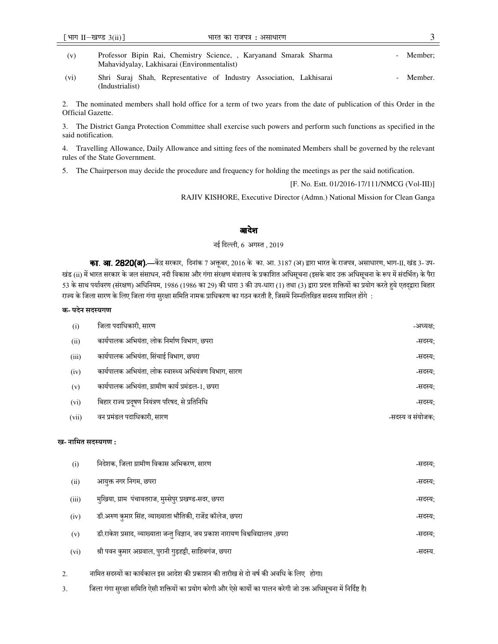Mahavidyalay, Lakhisarai (Environmentalist)

(vi) Shri Suraj Shah, Representative of Industry Association, Lakhisarai (Industrialist) Member.

2. The nominated members shall hold office for a term of two years from the date of publication of this Order in the Official Gazette.

3. The District Ganga Protection Committee shall exercise such powers and perform such functions as specified in the said notification.

4. Travelling Allowance, Daily Allowance and sitting fees of the nominated Members shall be governed by the relevant rules of the State Government.

5. The Chairperson may decide the procedure and frequency for holding the meetings as per the said notification.

[F. No. Estt. 01/2016-17/111/NMCG (Vol-III)]

RAJIV KISHORE, Executive Director (Admn.) National Mission for Clean Ganga

## आदेश

#### नई िदली, 6 अग
त , 2019

**का. आ. 2820(अ).—**केंद्र सरकार, दिनांक 7 अक्तूबर, 2016 के का. आ. 3187 (अ) द्वारा भारत के राजपत्र, असाधारण, भाग-II, खंड 3- उप-खंड (ii) में भारत सरकार के जल संसाधन, नदी विकास और गंगा संरक्षण मंत्रालय के प्रकाशित अधिसूचना (इसके बाद उक्त अधिसूचना के रूप में संदर्भित) के पैरा 53 के साथ पर्यावरण (संरक्षण) अधिनियम, 1986 (1986 का 29) की धारा 3 की उप-धारा (1) तथा (3) द्वारा प्रदत्त शक्तियों का प्रयोग करते हुये एतद्द्वारा बिहार राज्य के जिला सारण के लिए जिला गंगा सुरक्षा समिति नामक प्राधिकरण का गठन करती है, जिसमें निम्नलिखित सदस्य शामिल होंगे :

## क- पदेन सदस्यगण

| (i)   | जिला पदाधिकारी, सारण                                   | -अध्यक्ष:        |
|-------|--------------------------------------------------------|------------------|
| (ii)  | कार्यपालक अभियंता, लोक निर्माण विभाग, छपरा             | -सदस्य:          |
| (iii) | कार्यपालक अभियंता, सिंचाई विभाग, छपरा                  | -सदस्य:          |
| (iv)  | कार्यपालक अभियंता, लोक स्वास्थ्य अभियंत्रण विभाग, सारण | -सदस्य:          |
| (v)   | कार्यपालक अभियंता, ग्रामीण कार्य प्रमंडल-1, छपरा       | -सदस्य:          |
| (vi)  | बिहार राज्य प्रदुषण नियंत्रण परिषद, से प्रतिनिधि       | -सदस्य:          |
| (vii) | वन प्रमंडल पदाधिकारी, सारण                             | -सदस्य व संयोजक: |

#### ख- नामित सदस्यगण :

| (i)   | निदेशक, जिला ग्रामीण विकास अभिकरण, सारण                                         | -सदस्य: |
|-------|---------------------------------------------------------------------------------|---------|
| (ii)  | आयुक्त नगर निगम, छपरा                                                           | -सदस्य: |
| (iii) | मुखिया, ग्राम)पंचायतराज, मुस्सेपुर प्रखण्ड-सदर, छपरा                            | -सदस्य: |
| (iv)  | डॉ.अरुण कुमार सिंह, व्याख्याता भौतिकी, राजेंद्र कॉलेज, छपरा                     | -सदस्य: |
| (v)   | डॉ.राकेश प्रसाद, व्याख्याता जन्तु विज्ञान, जय प्रकाश नारायण विश्वविद्यालय ,छपरा | -सदस्य; |
| (vi)  | श्री पवन कुमार अग्रवाल, पुरानी गुड़हट्टी, साहिबगंज, छपरा                        | -सदस्य. |

- 2. नािमत सद
यB का काय<काल इस आदेश क@ 7काशन क@ तारीख से दो वष< क@ अविध के िलए होगा।
- 3. जिला गंगा सुरक्षा समिति ऐसी शक्तियों का प्रयोग करेगी और ऐसे कार्यो का पालन करेगी जो उक्त अधिसूचना में निर्दिष्ट है।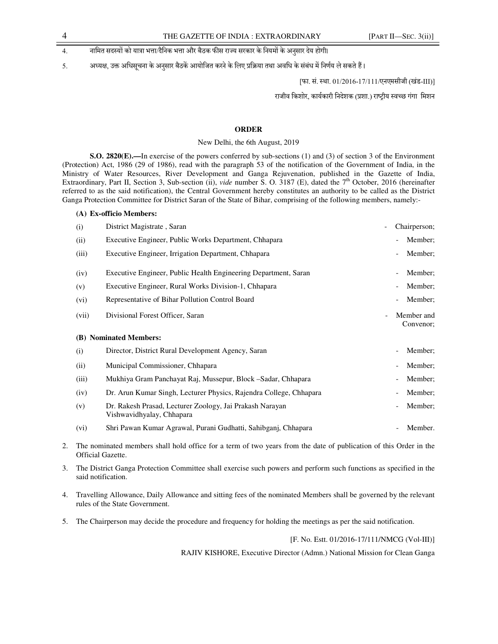## 4. नामित सदस्यों को यात्रा भत्ता/दैनिक भत्ता और बैठक फीस राज्य सरकार के नियमों के अनसार देय होगी।

5. अध्यक्ष, उक्त अधिसूचना के अनुसार बैठकें आयोजित करने के लिए प्रक्रिया तथा अवधि के संबंध में निर्णय ले सकते हैं।

[फा. सं. स्था. 01/2016-17/111/एनएमसीजी (खंड-III)]

राजीव किशोर, कार्यकारी निदेशक (प्रशा.) राष्ट्रीय स्वच्छ गंगा मिशन

## **ORDER**

#### New Delhi, the 6th August, 2019

**S.O. 2820(E).—**In exercise of the powers conferred by sub-sections (1) and (3) of section 3 of the Environment (Protection) Act, 1986 (29 of 1986), read with the paragraph 53 of the notification of the Government of India, in the Ministry of Water Resources, River Development and Ganga Rejuvenation, published in the Gazette of India, Extraordinary, Part II, Section 3, Sub-section (ii), *vide* number S. O. 3187 (E), dated the 7th October, 2016 (hereinafter referred to as the said notification), the Central Government hereby constitutes an authority to be called as the District Ganga Protection Committee for District Saran of the State of Bihar, comprising of the following members, namely:-

### **(A) Ex-officio Members:**

| (i)   | District Magistrate, Saran                                                            | Chairperson;                        |
|-------|---------------------------------------------------------------------------------------|-------------------------------------|
| (ii)  | Executive Engineer, Public Works Department, Chhapara                                 | Member;<br>$\overline{\phantom{a}}$ |
| (iii) | Executive Engineer, Irrigation Department, Chhapara                                   | Member;<br>$\overline{\phantom{a}}$ |
| (iv)  | Executive Engineer, Public Health Engineering Department, Saran                       | Member;<br>$\overline{\phantom{0}}$ |
| (v)   | Executive Engineer, Rural Works Division-1, Chhapara                                  | Member;<br>$\qquad \qquad -$        |
| (vi)  | Representative of Bihar Pollution Control Board                                       | Member;<br>$\overline{\phantom{a}}$ |
| (vii) | Divisional Forest Officer, Saran<br>$\frac{1}{2}$                                     | Member and<br>Convenor;             |
|       |                                                                                       |                                     |
|       | (B) Nominated Members:                                                                |                                     |
| (i)   | Director, District Rural Development Agency, Saran                                    | Member;<br>$\overline{\phantom{0}}$ |
| (ii)  | Municipal Commissioner, Chhapara                                                      | Member:<br>$\qquad \qquad -$        |
| (iii) | Mukhiya Gram Panchayat Raj, Mussepur, Block –Sadar, Chhapara                          | Member:<br>$\overline{\phantom{a}}$ |
| (iv)  | Dr. Arun Kumar Singh, Lecturer Physics, Rajendra College, Chhapara                    | Member:<br>$\qquad \qquad -$        |
| (v)   | Dr. Rakesh Prasad, Lecturer Zoology, Jai Prakash Narayan<br>Vishwavidhyalay, Chhapara | Member;<br>$\qquad \qquad -$        |

- 2. The nominated members shall hold office for a term of two years from the date of publication of this Order in the Official Gazette.
- 3. The District Ganga Protection Committee shall exercise such powers and perform such functions as specified in the said notification.
- 4. Travelling Allowance, Daily Allowance and sitting fees of the nominated Members shall be governed by the relevant rules of the State Government.
- 5. The Chairperson may decide the procedure and frequency for holding the meetings as per the said notification.

#### [F. No. Estt. 01/2016-17/111/NMCG (Vol-III)]

RAJIV KISHORE, Executive Director (Admn.) National Mission for Clean Ganga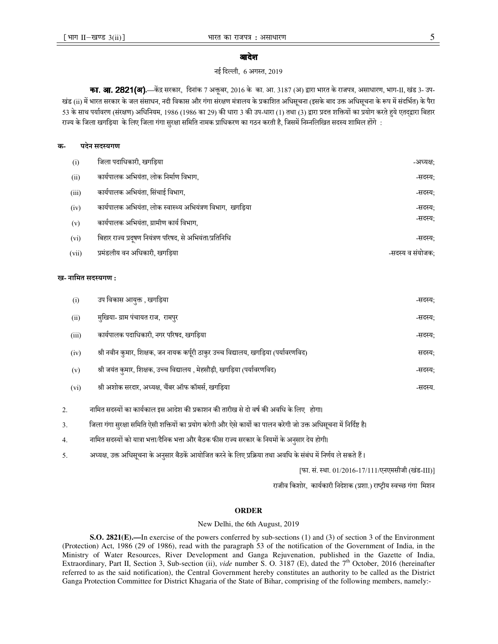## आदेश

#### नई िदली, 6 अग
त, 2019

का. आ. 2821(अ).—केंद्र सरकार, दिनांक 7 अक्तूबर, 2016 के का. आ. 3187 (अ) द्वारा भारत के राजपत्र, असाधारण, भाग-II, खंड 3- उप-खंड (ii) में भारत सरकार के जल संसाधन, नदी विकास और गंगा संरक्षण मंत्रालय के प्रकाशित अधिसूचना (इसके बाद उक्त अधिसूचना के रूप में संदर्भित) के पैरा 53 के साथ पर्यावरण (संरक्षण) अधिनियम, 1986 (1986 का 29) की धारा 3 की उप-धारा (1) तथा (3) द्वारा प्रदत्त शक्तियों का प्रयोग करते हुये एतदद्वारा बिहार राज्य के जिला खगड़िया के लिए जिला गंगा सरक्षा समिति नामक प्राधिकरण का गठन करती है, जिसमें निम्नलिखित सदस्य शामिल होंगे :

#### क- पदेन सदस्यगण

| (i)   | जिला पदाधिकारी, खगड़िया                                   | -अध्यक्ष:        |
|-------|-----------------------------------------------------------|------------------|
| (ii)  | कार्यपालक अभियंता, लोक निर्माण विभाग,                     | -सदस्य:          |
| (iii) | कार्यपालक अभियंता, सिंचाई विभाग,                          | -सदस्य:          |
| (iv)  | कार्यपालक अभियंता, लोक स्वास्थ्य अभियंत्रण विभाग, खगड़िया | -सदस्य:          |
| (v)   | कार्यपालक अभियंता, ग्रामीण कार्य विभाग,                   | -सदस्य:          |
| (vi)  | बिहार राज्य प्रदूषण नियंत्रण परिषद, से अभियंता/प्रतिनिधि  | -सदस्य:          |
| (vii) | प्रमंडलीय वन अधिकारी, खगड़िया                             | -सदस्य व संयोजक: |

#### ख- नामित सदस्यगण :

| उप विकास आयुक्त , खगड़िया<br>(i)                                                            | -सदस्य; |
|---------------------------------------------------------------------------------------------|---------|
| मुखिया- ग्राम पंचायत राज, रामपुर<br>(ii)                                                    | -सदस्य: |
| कार्यपालक पदाधिकारी, नगर परिषद, खगड़िया<br>(iii)                                            | -सदस्य; |
| श्री नवीन कुमार, शिक्षक, जन नायक कर्पूरी ठाकुर उच्च विद्यालय, खगड़िया (पर्यावरणविद)<br>(iv) | सदस्य;  |
| श्री जयंत कुमार, शिक्षक, उच्च विद्यालय , मेहसौड़ी, खगड़िया (पर्यावरणविद)<br>(v)             | -सदस्य: |
| श्री अशोक सरदार, अध्यक्ष, चैंबर ऑफ कॉमर्स, खगड़िया<br>(vi)                                  | -सदस्य. |

2. नािमत सद
यB का काय<काल इस आदेश क@ 7काशन क@ तारीख से दो वष< क@ अविध के िलए होगा।

3. जिला गंगा सुरक्षा समिति ऐसी शक्तियों का प्रयोग करेगी और ऐसे कार्यो का पालन करेगी जो उक्त अधिसूचना में निर्दिष्ट है।

- 4. नािमत सद
यB को या)ा भAा/दैिनक भAा और बैठक फ@स राHय सरकार के िनयमB के अनसार देय होगी। ु
- 5. अध्यक्ष, उक्त अधिसूचना के अनुसार बैठकें आयोजित करने के लिए प्रक्रिया तथा अवधि के संबंध में निर्णय ले सकते हैं।

[फा. सं. स्था. 01/2016-17/111/एनएमसीजी (खंड-III)]

राजीव किशोर, कार्यकारी निदेशक (प्रशा.) राष्ट्रीय स्वच्छ गंगा मिशन

### **ORDER**

#### New Delhi, the 6th August, 2019

**S.O. 2821(E).—**In exercise of the powers conferred by sub-sections (1) and (3) of section 3 of the Environment (Protection) Act, 1986 (29 of 1986), read with the paragraph 53 of the notification of the Government of India, in the Ministry of Water Resources, River Development and Ganga Rejuvenation, published in the Gazette of India, Extraordinary, Part II, Section 3, Sub-section (ii), *vide* number S. O. 3187 (E), dated the 7<sup>th</sup> October, 2016 (hereinafter referred to as the said notification), the Central Government hereby constitutes an authority to be called as the District Ganga Protection Committee for District Khagaria of the State of Bihar, comprising of the following members, namely:-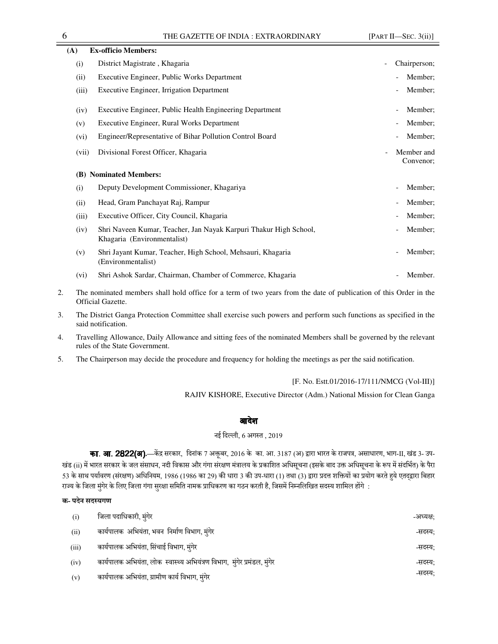| (A)   | <b>Ex-officio Members:</b>                                                                       |                                                     |
|-------|--------------------------------------------------------------------------------------------------|-----------------------------------------------------|
| (i)   | District Magistrate, Khagaria                                                                    | Chairperson;<br>$\overline{\phantom{a}}$            |
| (ii)  | Executive Engineer, Public Works Department                                                      | Member;                                             |
| (iii) | <b>Executive Engineer, Irrigation Department</b>                                                 | Member;                                             |
| (iv)  | Executive Engineer, Public Health Engineering Department                                         | Member;                                             |
| (v)   | Executive Engineer, Rural Works Department                                                       | Member;                                             |
| (vi)  | Engineer/Representative of Bihar Pollution Control Board                                         | Member;                                             |
| (vii) | Divisional Forest Officer, Khagaria                                                              | Member and<br>$\overline{\phantom{a}}$<br>Convenor; |
| (B)   | <b>Nominated Members:</b>                                                                        |                                                     |
| (i)   | Deputy Development Commissioner, Khagariya                                                       | Member;                                             |
| (ii)  | Head, Gram Panchayat Raj, Rampur                                                                 | Member;                                             |
| (iii) | Executive Officer, City Council, Khagaria                                                        | Member;                                             |
| (iv)  | Shri Naveen Kumar, Teacher, Jan Nayak Karpuri Thakur High School,<br>Khagaria (Environmentalist) | Member;                                             |
| (v)   | Shri Jayant Kumar, Teacher, High School, Mehsauri, Khagaria<br>(Environmentalist)                | Member;                                             |
| (vi)  | Shri Ashok Sardar, Chairman, Chamber of Commerce, Khagaria                                       | Member.                                             |

- 2. The nominated members shall hold office for a term of two years from the date of publication of this Order in the Official Gazette.
- 3. The District Ganga Protection Committee shall exercise such powers and perform such functions as specified in the said notification.
- 4. Travelling Allowance, Daily Allowance and sitting fees of the nominated Members shall be governed by the relevant rules of the State Government.
- 5. The Chairperson may decide the procedure and frequency for holding the meetings as per the said notification.

#### [F. No. Estt.01/2016-17/111/NMCG (Vol-III)]

RAJIV KISHORE, Executive Director (Adm.) National Mission for Clean Ganga

## आदेश

## नई िदली, 6 अग
त , 2019

का. आ. 2822(अ).—केंद्र सरकार, दिनांक 7 अक्तूबर, 2016 के का. आ. 3187 (अ) द्वारा भारत के राजपत्र, असाधारण, भाग-II, खंड 3- उप-खंड (ii) में भारत सरकार के जल संसाधन, नदी विकास और गंगा संरक्षण मंत्रालय के प्रकाशित अधिसूचना (इसके बाद उक्त अधिसूचना के रूप में संदर्भित) के पैरा 53 के साथ पर्यावरण (संरक्षण) अधिनियम, 1986 (1986 का 29) की धारा 3 की उप-धारा (1) तथा (3) द्वारा प्रदत्त शक्तियों का प्रयोग करते हुये एतदद्वारा बिहार राज्य के जिला मुंगेर के लिए जिला गंगा सुरक्षा समिति नामक प्राधिकरण का गठन करती है, जिसमें निम्नलिखित सदस्य शामिल होंगे :

#### क- पदेन सदस्यगण

| (i)   | जिला पदाधिकारी, मुंगेर                                                   | -अध्यक्ष: |
|-------|--------------------------------------------------------------------------|-----------|
| (ii)  | कार्यपालक अभियंता, भवन निर्माण विभाग, मुंगेर                             | -सदस्य:   |
| (iii) | कार्यपालक अभियंता, सिंचाई विभाग, मंगेर                                   | -सदस्य:   |
| (iv)  | कार्यपालक अभियंता, लोक स्वास्थ्य अभियंत्रण विभाग, मुंगेर प्रमंडल, मुंगेर | -सदस्य:   |
| (v)   | कार्यपालक अभियंता, ग्रामीण कार्य विभाग, मुंगेर                           | -सदस्य:   |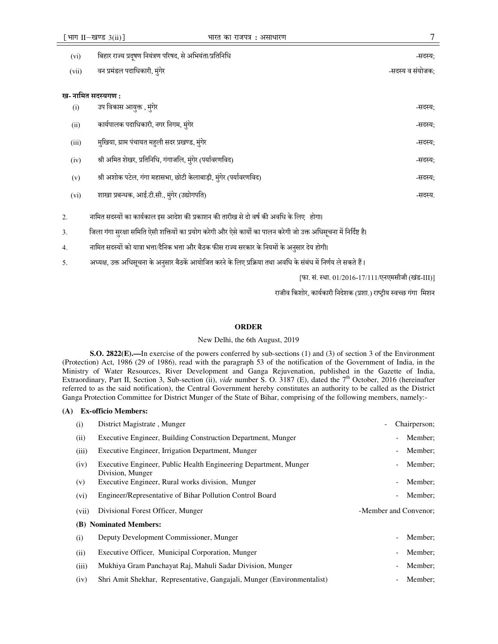| (vi)               | बिहार राज्य प्रदूषण नियंत्रण परिषद, से अभियंता/प्रतिनिधि          | -सदस्य:          |
|--------------------|-------------------------------------------------------------------|------------------|
| (vii)              | वन प्रमंडल पदाधिकारी, मुंगेर                                      | -सदस्य व संयोजक: |
| ख- नामित सदस्यगण : |                                                                   |                  |
| (i)                | उप विकास आयुक्त , मुंगेर                                          | -सदस्य:          |
| (ii)               | कार्यपालक पदाधिकारी, नगर निगम, मुंगेर                             | -सदस्य;          |
| (iii)              | मुखिया, ग्राम पंचायत महली सदर प्रखण्ड, मुंगेर                     | -सदस्य:          |
| (iv)               | श्री अमित शेखर, प्रतिनिधि, गंगाजलि, मुंगेर (पर्यावरणविद)          | -सदस्य;          |
| (v)                | श्री अशोक पटेल, गंगा महासभा, छोटी केलाबाड़ी, मुंगेर (पर्यावरणविद) | -सदस्य:          |
| (vi)               | शाखा प्रबन्धक, आई.टी.सी., मुंगेर (उद्योगपति)                      | -सदस्य.          |
|                    |                                                                   |                  |

- 2. नामित सदस्यों का कार्यकाल इस आदेश की प्रकाशन की तारीख से दो वर्ष की अवधि के लिए होगा।
- 3. जिला गंगा सुरक्षा समिति ऐसी शक्तियों का प्रयोग करेगी और ऐसे कार्यो का पालन करेगी जो उक्त अधिसूचना में निर्दिष्ट है।
- 4. नामित सदस्यों को यात्रा भत्ता/दैनिक भत्ता और बैठक फीस राज्य सरकार के नियमों के अनुसार देय होगी।
- 5. अध्यक्ष, उक्त अधिसूचना के अनुसार बैठकें आयोजित करने के लिए प्रक्रिया तथा अवधि के संबंध में निर्णय ले सकते हैं।

[फा. सं. स्था. 01/2016-17/111/एनएमसीजी (खंड-III)]

राजीव किशोर, कार्यकारी निदेशक (प्रशा.) राष्ट्रीय स्वच्छ गंगा मिशन

## **ORDER**

## New Delhi, the 6th August, 2019

**S.O. 2822(E).—**In exercise of the powers conferred by sub-sections (1) and (3) of section 3 of the Environment (Protection) Act, 1986 (29 of 1986), read with the paragraph 53 of the notification of the Government of India, in the Ministry of Water Resources, River Development and Ganga Rejuvenation, published in the Gazette of India, Extraordinary, Part II, Section 3, Sub-section (ii), *vide* number S. O. 3187 (E), dated the 7<sup>th</sup> October, 2016 (hereinafter referred to as the said notification), the Central Government hereby constitutes an authority to be called as the District Ganga Protection Committee for District Munger of the State of Bihar, comprising of the following members, namely:-

#### **(A) Ex-officio Members:**

| (i)   | District Magistrate, Munger                                                          | Chairperson;                        |
|-------|--------------------------------------------------------------------------------------|-------------------------------------|
| (ii)  | Executive Engineer, Building Construction Department, Munger                         | Member;<br>$\blacksquare$           |
| (iii) | Executive Engineer, Irrigation Department, Munger                                    | Member;                             |
| (iv)  | Executive Engineer, Public Health Engineering Department, Munger<br>Division, Munger | Member:<br>$\overline{\phantom{a}}$ |
| (v)   | Executive Engineer, Rural works division, Munger                                     | Member:<br>$\overline{\phantom{a}}$ |
| (vi)  | Engineer/Representative of Bihar Pollution Control Board                             | Member:                             |
| (vii) | Divisional Forest Officer, Munger                                                    | -Member and Convenor;               |
|       |                                                                                      |                                     |
|       | (B) Nominated Members:                                                               |                                     |
| (i)   | Deputy Development Commissioner, Munger                                              | Member:                             |
| (ii)  | Executive Officer, Municipal Corporation, Munger                                     | Member;<br>$\overline{\phantom{a}}$ |
| (iii) | Mukhiya Gram Panchayat Raj, Mahuli Sadar Division, Munger                            | Member:<br>$\overline{\phantom{a}}$ |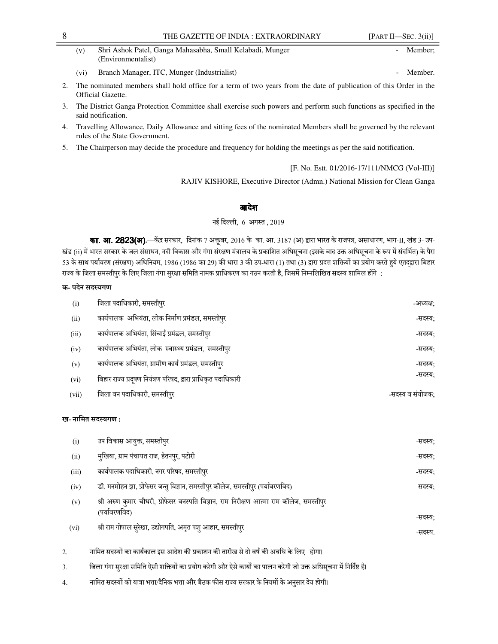| (v) | Shri Ashok Patel, Ganga Mahasabha, Small Kelabadi, Munger | Member: |
|-----|-----------------------------------------------------------|---------|
|     | (Environmentalist)                                        |         |

- (vi) Branch Manager, ITC, Munger (Industrialist) Member.
- 2. The nominated members shall hold office for a term of two years from the date of publication of this Order in the Official Gazette.
- 3. The District Ganga Protection Committee shall exercise such powers and perform such functions as specified in the said notification.
- 4. Travelling Allowance, Daily Allowance and sitting fees of the nominated Members shall be governed by the relevant rules of the State Government.
- 5. The Chairperson may decide the procedure and frequency for holding the meetings as per the said notification.

## [F. No. Estt. 01/2016-17/111/NMCG (Vol-III)]

RAJIV KISHORE, Executive Director (Admn.) National Mission for Clean Ganga

## आदेश

नई िदली, 6 अग
त , 2019

का. आ. 2823(अ).—केंद्र सरकार, दिनांक 7 अक्तूबर, 2016 के का. आ. 3187 (अ) द्वारा भारत के राजपत्र, असाधारण, भाग-II, खंड 3- उप-खंड (ii) में भारत सरकार के जल संसाधन, नदी विकास और गंगा संरक्षण मंत्रालय के प्रकाशित अधिसूचना (इसके बाद उक्त अधिसूचना के रूप में संदर्भित) के पैरा 53 के साथ पर्यावरण (संरक्षण) अधिनियम, 1986 (1986 का 29) की धारा 3 की उप-धारा (1) तथा (3) द्वारा प्रदत्त शक्तियों का प्रयोग करते हुये एतद्द्वारा बिहार राज्य के जिला समस्तीपुर के लिए जिला गंगा सुरक्षा समिति नामक प्राधिकरण का गठन करती है, जिसमें निम्नलिखित सदस्य शामिल होंगे :

## क- पदेन सदस्यगण

| (i)   | जिला पदाधिकारी, समस्तीपुर                                      | -अध्यक्ष:        |
|-------|----------------------------------------------------------------|------------------|
| (ii)  | कार्यपालक  अभियंता, लोक निर्माण प्रमंडल, समस्तीपुर             | -सदस्य:          |
| (iii) | कार्यपालक अभियंता, सिंचाई प्रमंडल, समस्तीपुर                   | -सदस्य:          |
| (iv)  | कार्यपालक अभियंता, लोक स्वास्थ्य प्रमंडल, समस्तीपुर            | -सदस्य:          |
| (v)   | कार्यपालक अभियंता, ग्रामीण कार्य प्रमंडल, समस्तीपुर            | -सदस्य:          |
| (vi)  | बिहार राज्य प्रदूषण नियंत्रण परिषद, द्वारा प्राधिकृत पदाधिकारी | -सदस्य;          |
| (vii) | जिला वन पदाधिकारी, समस्तीपुर                                   | -सदस्य व संयोजक: |

## ख- नामित सदस्यगण :

| (i)    | उप विकास आयुक्त, समस्तीपुर                                                                                                                                                                                                                                                                                                      | -सदस्य: |
|--------|---------------------------------------------------------------------------------------------------------------------------------------------------------------------------------------------------------------------------------------------------------------------------------------------------------------------------------|---------|
| (ii)   | मुखिया, ग्राम पंचायत राज, हेतनपुर, पटोरी                                                                                                                                                                                                                                                                                        | -सदस्य: |
| (iii)  | कार्यपालक पदाधिकारी, नगर परिषद, समस्तीपुर                                                                                                                                                                                                                                                                                       | -सदस्य: |
| (iv)   | डॉ. मनमोहन झा, प्रोफेसर जन्तु विज्ञान, समस्तीपुर कॉलेज, समस्तीपुर (पर्यावरणविद)                                                                                                                                                                                                                                                 | सदस्य:  |
| (v)    | श्री अरुण कुमार चौधरी, प्रोफेसर वनस्पति विज्ञान, राम निरीक्षण आत्मा राम कॉलेज, समस्तीपुर<br>(पर्यावरणविद)                                                                                                                                                                                                                       | -सदस्य: |
| (vi)   | श्री राम गोपाल सुरेखा, उद्योगपति, अमृत पशु आहार, समस्तीपुर                                                                                                                                                                                                                                                                      | -सदस्य. |
| 2.     | नामित सदस्यों का कार्यकाल इस आदेश की प्रकाशन की तारीख से दो वर्ष की अवधि के लिए होगा।                                                                                                                                                                                                                                           |         |
| $\sim$ | $\overbrace{1}$ , and the post-contract $\overline{1}$ and $\overline{1}$ and $\overline{1}$ and $\overline{1}$ and $\overline{1}$ are $\overline{1}$ and $\overline{1}$ and $\overline{1}$ and $\overline{1}$ and $\overline{1}$ and $\overline{1}$ and $\overline{1}$ and $\overline{1}$ and $\overline{1}$ and $\overline{1$ |         |

- 3. जिला गंगा सुरक्षा समिति ऐसी शक्तियों का प्रयोग करेगी और ऐसे कार्यो का पालन करेगी जो उक्त अधिसूचना में निर्दिष्ट है।
- 4. नामित सदस्यों को यात्रा भत्ता/दैनिक भत्ता और बैठक फीस राज्य सरकार के नियमों के अनुसार देय होगी।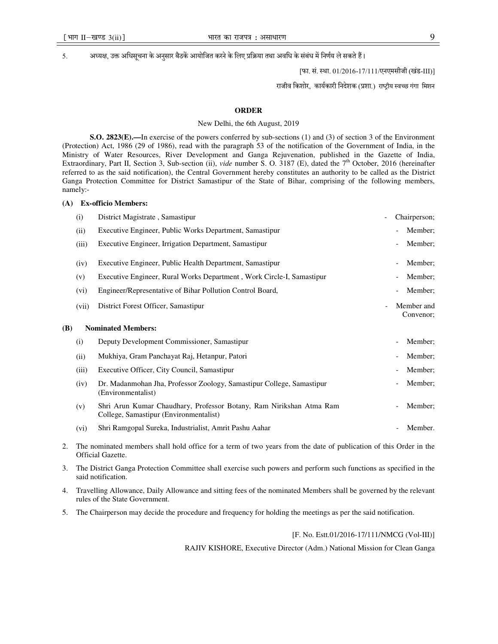5. अध्यक्ष, उक्त अधिसुचना के अनुसार बैठके आयोजित करने के लिए प्रक्रिया तथा अवधि के संबंध में निर्णय ले सकते हैं।

[फा. सं. स्था. 01/2016-17/111/एनएमसीजी (खंड-III)]

राजीव किशोर, कार्यकारी निदेशक (प्रशा.) राष्ट्रीय स्वच्छ गंगा मिशन

#### **ORDER**

#### New Delhi, the 6th August, 2019

**S.O. 2823(E).—In exercise of the powers conferred by sub-sections (1) and (3) of section 3 of the Environment** (Protection) Act, 1986 (29 of 1986), read with the paragraph 53 of the notification of the Government of India, in the Ministry of Water Resources, River Development and Ganga Rejuvenation, published in the Gazette of India, Extraordinary, Part II, Section 3, Sub-section (ii), *vide* number S. O. 3187 (E), dated the 7<sup>th</sup> October, 2016 (hereinafter referred to as the said notification), the Central Government hereby constitutes an authority to be called as the District Ganga Protection Committee for District Samastipur of the State of Bihar, comprising of the following members, namely:-

#### **(A) Ex-officio Members:**

|     | (i)   | District Magistrate, Samastipur                                                                               | $\overline{\phantom{a}}$ |                          | Chairperson;            |
|-----|-------|---------------------------------------------------------------------------------------------------------------|--------------------------|--------------------------|-------------------------|
|     | (ii)  | Executive Engineer, Public Works Department, Samastipur                                                       |                          |                          | Member;                 |
|     | (iii) | Executive Engineer, Irrigation Department, Samastipur                                                         |                          |                          | Member;                 |
|     | (iv)  | Executive Engineer, Public Health Department, Samastipur                                                      |                          |                          | Member;                 |
|     | (v)   | Executive Engineer, Rural Works Department, Work Circle-I, Samastipur                                         |                          |                          | Member;                 |
|     | (vi)  | Engineer/Representative of Bihar Pollution Control Board,                                                     |                          |                          | Member;                 |
|     | (vii) | District Forest Officer, Samastipur                                                                           | $\overline{\phantom{a}}$ |                          | Member and<br>Convenor; |
| (B) |       | <b>Nominated Members:</b>                                                                                     |                          |                          |                         |
|     | (i)   | Deputy Development Commissioner, Samastipur                                                                   |                          |                          | Member;                 |
|     | (ii)  | Mukhiya, Gram Panchayat Raj, Hetanpur, Patori                                                                 |                          |                          | Member;                 |
|     | (iii) | Executive Officer, City Council, Samastipur                                                                   |                          |                          | Member;                 |
|     | (iv)  | Dr. Madanmohan Jha, Professor Zoology, Samastipur College, Samastipur<br>(Environmentalist)                   |                          |                          | Member;                 |
|     | (v)   | Shri Arun Kumar Chaudhary, Professor Botany, Ram Nirikshan Atma Ram<br>College, Samastipur (Environmentalist) |                          | $\overline{\phantom{a}}$ | Member;                 |
|     | (vi)  | Shri Ramgopal Sureka, Industrialist, Amrit Pashu Aahar                                                        |                          |                          | Member.                 |
|     |       |                                                                                                               |                          |                          |                         |

- 2. The nominated members shall hold office for a term of two years from the date of publication of this Order in the Official Gazette.
- 3. The District Ganga Protection Committee shall exercise such powers and perform such functions as specified in the said notification.
- 4. Travelling Allowance, Daily Allowance and sitting fees of the nominated Members shall be governed by the relevant rules of the State Government.
- 5. The Chairperson may decide the procedure and frequency for holding the meetings as per the said notification.

#### [F. No. Estt.01/2016-17/111/NMCG (Vol-III)]

RAJIV KISHORE, Executive Director (Adm.) National Mission for Clean Ganga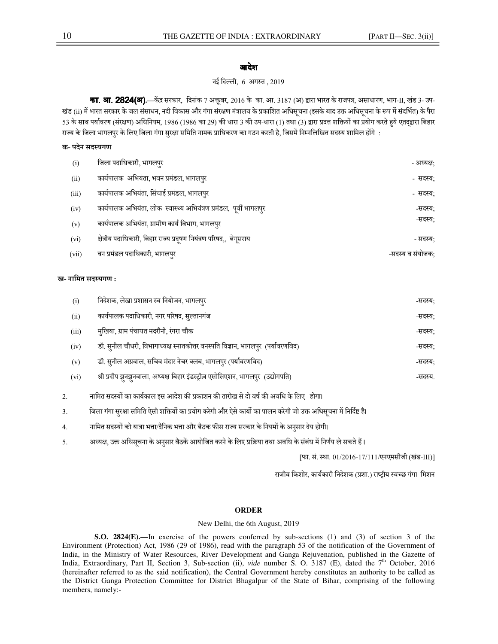## आदेश

## नई िदली, 6 अग
त , 2019

**का. आ. 2824(ब).**—केंद्र सरकार, दिनांक 7 अक्तूबर, 2016 के का. आ. 3187 (अ) द्वारा भारत के राजपत्र, असाधारण, भाग-II, खंड 3- उप-खंड (ii) में भारत सरकार के जल संसाधन, नदी विकास और गंगा संरक्षण मंत्रालय के प्रकाशित अधिसूचना (इसके बाद उक्त अधिसूचना के रूप में संदर्भित) के पैरा 53 के साथ पर्यावरण (संरक्षण) अधिनियम, 1986 (1986 का 29) की धारा 3 की उप-धारा (1) तथा (3) द्वारा प्रदत्त शक्तियों का प्रयोग करते हये एतदद्वारा बिहार राज्य के जिला भागलपुर के लिए जिला गंगा सुरक्षा समिति नामक प्राधिकरण का गठन करती है, जिसमें निम्नलिखित सदस्य शामिल होंगे :

## क- पदेन सदस्यगण

| (i)   | जिला पदाधिकारी, भागलपुर                                             | - अध्यक्ष:       |
|-------|---------------------------------------------------------------------|------------------|
| (ii)  | कार्यपालक  अभियंता, भवन प्रमंडल, भागलपुर                            | - सदस्य:         |
| (iii) | कार्यपालक अभियंता, सिंचाई प्रमंडल, भागलपुर                          | - सदस्य:         |
| (iv)  | कार्यपालक अभियंता, लोक स्वास्थ्य अभियंत्रण प्रमंडल, पूर्वी भागलपुर  | -सदस्य:          |
| (v)   | कार्यपालक अभियंता, ग्रामीण कार्य विभाग, भागलपुर                     | -सदस्य;          |
| (vi)  | क्षेत्रीय पदाधिकारी, बिहार राज्य प्रदूषण नियंत्रण परिषद,,  बेगूसराय | - सदस्य:         |
| (vii) | वन प्रमंडल पदाधिकारी, भागलपुर                                       | -सदस्य व संयोजक: |

#### ख- नामित सदस्यगण :

| (i)   | निदेशक, लेखा प्रशासन स्व नियोजन, भागलपुर                                          | -सदस्य: |
|-------|-----------------------------------------------------------------------------------|---------|
| (ii)  | कार्यपालक पदाधिकारी, नगर परिषद, सुल्तानगंज                                        | -सदस्य; |
| (iii) | मुखिया, ग्राम पंचायत मदरौनी, रंगरा चौक                                            | -सदस्य: |
| (iv)  | डॉ. सुनील चौधरी, विभागाध्यक्ष स्नातकोत्तर वनस्पति विज्ञान, भागलपुर  (पर्यावरणविद) | -सदस्य; |
| (v)   | डॉ. सुनील अग्रवाल, सचिव मंदार नेचर क्लब, भागलपुर (पर्यावरणविद)                    | -सदस्य: |
| (vi)  | श्री प्रदीप झुनझुनवाला, अध्यक्ष बिहार इंडस्ट्रीज़ एसोसिएशन, भागलपुर (उद्योगपति)   | -सदस्य. |

2. नामित सदस्यों का कार्यकाल इस आदेश की प्रकाशन की तारीख से दो वर्ष की अवधि के लिए होगा।

3. जिला गंगा सुरक्षा समिति ऐसी शक्तियों का प्रयोग करेगी और ऐसे कार्यो का पालन करेगी जो उक्त अधिसूचना में निर्दिष्ट है।

- 4. नािमत सद
यB को या)ा भAा/दैिनक भAा और बैठक फ@स राHय सरकार के िनयमB के अनसार देय होगी। ु
- 5. अध्यक्ष, उक्त अधिसूचना के अनुसार बैठकें आयोजित करने के लिए प्रक्रिया तथा अवधि के संबंध में निर्णय ले सकते हैं।

[फा. सं. स्था. 01/2016-17/111/एनएमसीजी (खंड-III)]

राजीव किशोर, कार्यकारी निदेशक (प्रशा.) राष्ट्रीय स्वच्छ गंगा मिशन

## **ORDER**

## New Delhi, the 6th August, 2019

**S.O. 2824(E).—**In exercise of the powers conferred by sub-sections (1) and (3) of section 3 of the Environment (Protection) Act, 1986 (29 of 1986), read with the paragraph 53 of the notification of the Government of India, in the Ministry of Water Resources, River Development and Ganga Rejuvenation, published in the Gazette of India, Extraordinary, Part II, Section 3, Sub-section (ii), *vide* number S. O. 3187 (E), dated the 7<sup>th</sup> October, 2016 (hereinafter referred to as the said notification), the Central Government hereby constitutes an authority to be called as the District Ganga Protection Committee for District Bhagalpur of the State of Bihar, comprising of the following members, namely:-